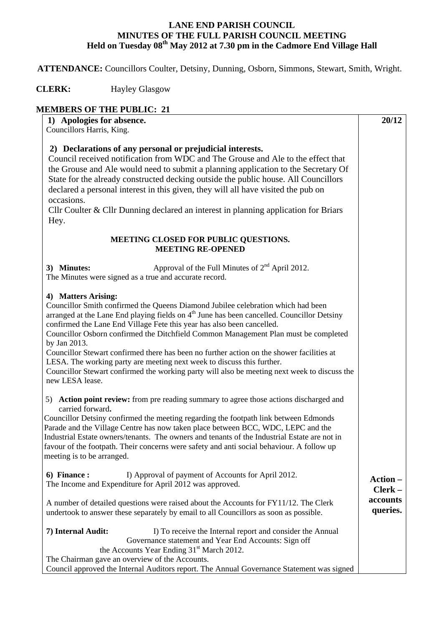## **LANE END PARISH COUNCIL MINUTES OF THE FULL PARISH COUNCIL MEETING Held on Tuesday 08th May 2012 at 7.30 pm in the Cadmore End Village Hall**

 **ATTENDANCE:** Councillors Coulter, Detsiny, Dunning, Osborn, Simmons, Stewart, Smith, Wright.

## **CLERK:** Hayley Glasgow

## **MEMBERS OF THE PUBLIC: 21**

| 1) Apologies for absence.<br>Councillors Harris, King.                                                                                                                                                                                                                                                                                                                                                                                                                                                                                                                                                                                                                                       | 20/12                |
|----------------------------------------------------------------------------------------------------------------------------------------------------------------------------------------------------------------------------------------------------------------------------------------------------------------------------------------------------------------------------------------------------------------------------------------------------------------------------------------------------------------------------------------------------------------------------------------------------------------------------------------------------------------------------------------------|----------------------|
| 2) Declarations of any personal or prejudicial interests.<br>Council received notification from WDC and The Grouse and Ale to the effect that<br>the Grouse and Ale would need to submit a planning application to the Secretary Of<br>State for the already constructed decking outside the public house. All Councillors<br>declared a personal interest in this given, they will all have visited the pub on<br>occasions.<br>Cllr Coulter & Cllr Dunning declared an interest in planning application for Briars<br>Hey.                                                                                                                                                                 |                      |
| MEETING CLOSED FOR PUBLIC QUESTIONS.<br><b>MEETING RE-OPENED</b>                                                                                                                                                                                                                                                                                                                                                                                                                                                                                                                                                                                                                             |                      |
| Approval of the Full Minutes of 2 <sup>nd</sup> April 2012.<br>3) Minutes:<br>The Minutes were signed as a true and accurate record.                                                                                                                                                                                                                                                                                                                                                                                                                                                                                                                                                         |                      |
| 4) Matters Arising:<br>Councillor Smith confirmed the Queens Diamond Jubilee celebration which had been<br>arranged at the Lane End playing fields on 4 <sup>th</sup> June has been cancelled. Councillor Detsiny<br>confirmed the Lane End Village Fete this year has also been cancelled.<br>Councillor Osborn confirmed the Ditchfield Common Management Plan must be completed<br>by Jan 2013.<br>Councillor Stewart confirmed there has been no further action on the shower facilities at<br>LESA. The working party are meeting next week to discuss this further.<br>Councillor Stewart confirmed the working party will also be meeting next week to discuss the<br>new LESA lease. |                      |
| 5) Action point review: from pre reading summary to agree those actions discharged and<br>carried forward.<br>Councillor Detsiny confirmed the meeting regarding the footpath link between Edmonds<br>Parade and the Village Centre has now taken place between BCC, WDC, LEPC and the<br>Industrial Estate owners/tenants. The owners and tenants of the Industrial Estate are not in<br>favour of the footpath. Their concerns were safety and anti social behaviour. A follow up<br>meeting is to be arranged.                                                                                                                                                                            |                      |
| 6) Finance :<br>I) Approval of payment of Accounts for April 2012.<br>The Income and Expenditure for April 2012 was approved.                                                                                                                                                                                                                                                                                                                                                                                                                                                                                                                                                                | Action -<br>Clerk-   |
| A number of detailed questions were raised about the Accounts for FY11/12. The Clerk<br>undertook to answer these separately by email to all Councillors as soon as possible.                                                                                                                                                                                                                                                                                                                                                                                                                                                                                                                | accounts<br>queries. |
| 7) Internal Audit:<br>I) To receive the Internal report and consider the Annual<br>Governance statement and Year End Accounts: Sign off<br>the Accounts Year Ending 31 <sup>st</sup> March 2012.<br>The Chairman gave an overview of the Accounts.<br>Council approved the Internal Auditors report. The Annual Governance Statement was signed                                                                                                                                                                                                                                                                                                                                              |                      |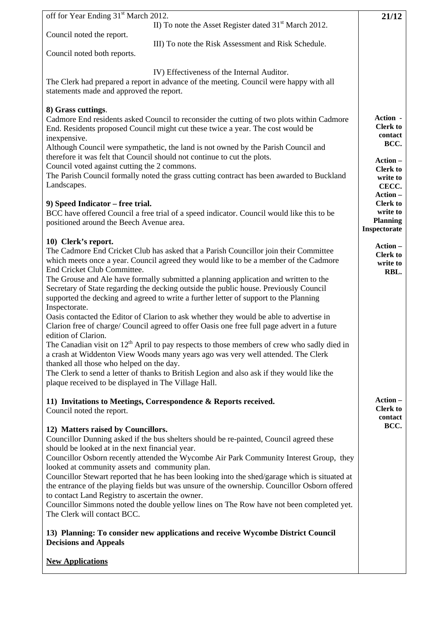| off for Year Ending 31 <sup>st</sup> March 2012.                                                                                                                                                                                                                                                                                                                                                                                                                                                                                                                                                                                                                                                                                                                                                                                                                                                                                                                                                                                                                                                                                       | 21/12                                                                                    |
|----------------------------------------------------------------------------------------------------------------------------------------------------------------------------------------------------------------------------------------------------------------------------------------------------------------------------------------------------------------------------------------------------------------------------------------------------------------------------------------------------------------------------------------------------------------------------------------------------------------------------------------------------------------------------------------------------------------------------------------------------------------------------------------------------------------------------------------------------------------------------------------------------------------------------------------------------------------------------------------------------------------------------------------------------------------------------------------------------------------------------------------|------------------------------------------------------------------------------------------|
| II) To note the Asset Register dated 31 <sup>st</sup> March 2012.<br>Council noted the report.                                                                                                                                                                                                                                                                                                                                                                                                                                                                                                                                                                                                                                                                                                                                                                                                                                                                                                                                                                                                                                         |                                                                                          |
| III) To note the Risk Assessment and Risk Schedule.<br>Council noted both reports.                                                                                                                                                                                                                                                                                                                                                                                                                                                                                                                                                                                                                                                                                                                                                                                                                                                                                                                                                                                                                                                     |                                                                                          |
|                                                                                                                                                                                                                                                                                                                                                                                                                                                                                                                                                                                                                                                                                                                                                                                                                                                                                                                                                                                                                                                                                                                                        |                                                                                          |
| IV) Effectiveness of the Internal Auditor.<br>The Clerk had prepared a report in advance of the meeting. Council were happy with all<br>statements made and approved the report.                                                                                                                                                                                                                                                                                                                                                                                                                                                                                                                                                                                                                                                                                                                                                                                                                                                                                                                                                       |                                                                                          |
| 8) Grass cuttings.<br>Cadmore End residents asked Council to reconsider the cutting of two plots within Cadmore<br>End. Residents proposed Council might cut these twice a year. The cost would be<br>inexpensive.<br>Although Council were sympathetic, the land is not owned by the Parish Council and<br>therefore it was felt that Council should not continue to cut the plots.<br>Council voted against cutting the 2 commons.<br>The Parish Council formally noted the grass cutting contract has been awarded to Buckland                                                                                                                                                                                                                                                                                                                                                                                                                                                                                                                                                                                                      | Action -<br><b>Clerk to</b><br>contact<br>BCC.<br>Action-<br><b>Clerk to</b><br>write to |
| Landscapes.                                                                                                                                                                                                                                                                                                                                                                                                                                                                                                                                                                                                                                                                                                                                                                                                                                                                                                                                                                                                                                                                                                                            | CECC.                                                                                    |
| 9) Speed Indicator – free trial.                                                                                                                                                                                                                                                                                                                                                                                                                                                                                                                                                                                                                                                                                                                                                                                                                                                                                                                                                                                                                                                                                                       | Action -<br><b>Clerk to</b>                                                              |
| BCC have offered Council a free trial of a speed indicator. Council would like this to be<br>positioned around the Beech Avenue area.                                                                                                                                                                                                                                                                                                                                                                                                                                                                                                                                                                                                                                                                                                                                                                                                                                                                                                                                                                                                  | write to<br><b>Planning</b><br>Inspectorate                                              |
| 10) Clerk's report.<br>The Cadmore End Cricket Club has asked that a Parish Councillor join their Committee<br>which meets once a year. Council agreed they would like to be a member of the Cadmore<br>End Cricket Club Committee.<br>The Grouse and Ale have formally submitted a planning application and written to the<br>Secretary of State regarding the decking outside the public house. Previously Council<br>supported the decking and agreed to write a further letter of support to the Planning<br>Inspectorate.<br>Oasis contacted the Editor of Clarion to ask whether they would be able to advertise in<br>Clarion free of charge/ Council agreed to offer Oasis one free full page advert in a future<br>edition of Clarion.<br>The Canadian visit on $12th$ April to pay respects to those members of crew who sadly died in<br>a crash at Widdenton View Woods many years ago was very well attended. The Clerk<br>thanked all those who helped on the day.<br>The Clerk to send a letter of thanks to British Legion and also ask if they would like the<br>plaque received to be displayed in The Village Hall. | Action-<br><b>Clerk to</b><br>write to<br>RBL.                                           |
| 11) Invitations to Meetings, Correspondence & Reports received.<br>Council noted the report.                                                                                                                                                                                                                                                                                                                                                                                                                                                                                                                                                                                                                                                                                                                                                                                                                                                                                                                                                                                                                                           | Action-<br><b>Clerk to</b><br>contact                                                    |
| 12) Matters raised by Councillors.<br>Councillor Dunning asked if the bus shelters should be re-painted, Council agreed these<br>should be looked at in the next financial year.<br>Councillor Osborn recently attended the Wycombe Air Park Community Interest Group, they<br>looked at community assets and community plan.<br>Councillor Stewart reported that he has been looking into the shed/garage which is situated at<br>the entrance of the playing fields but was unsure of the ownership. Councillor Osborn offered<br>to contact Land Registry to ascertain the owner.<br>Councillor Simmons noted the double yellow lines on The Row have not been completed yet.<br>The Clerk will contact BCC.<br>13) Planning: To consider new applications and receive Wycombe District Council<br><b>Decisions and Appeals</b>                                                                                                                                                                                                                                                                                                     | BCC.                                                                                     |
| <b>New Applications</b>                                                                                                                                                                                                                                                                                                                                                                                                                                                                                                                                                                                                                                                                                                                                                                                                                                                                                                                                                                                                                                                                                                                |                                                                                          |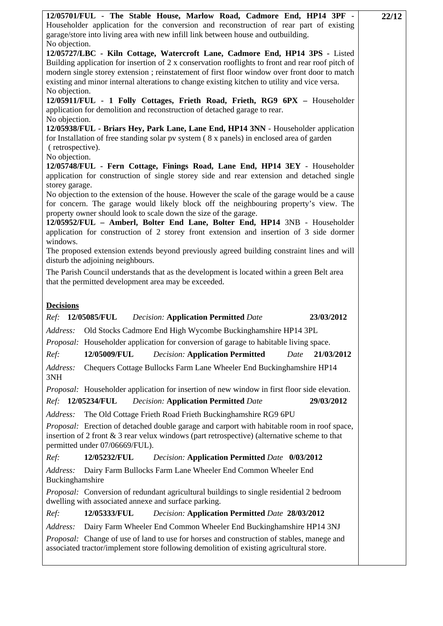| 12/05701/FUL - The Stable House, Marlow Road, Cadmore End, HP14 3PF -<br>Householder application for the conversion and reconstruction of rear part of existing<br>garage/store into living area with new infill link between house and outbuilding.<br>No objection.                                                                                                                     | 22/12 |
|-------------------------------------------------------------------------------------------------------------------------------------------------------------------------------------------------------------------------------------------------------------------------------------------------------------------------------------------------------------------------------------------|-------|
| 12/05727/LBC - Kiln Cottage, Watercroft Lane, Cadmore End, HP14 3PS - Listed<br>Building application for insertion of $2 \times$ conservation rooflights to front and rear roof pitch of<br>modern single storey extension; reinstatement of first floor window over front door to match<br>existing and minor internal alterations to change existing kitchen to utility and vice versa. |       |
| No objection.<br>12/05911/FUL - 1 Folly Cottages, Frieth Road, Frieth, RG9 6PX - Householder<br>application for demolition and reconstruction of detached garage to rear.<br>No objection.                                                                                                                                                                                                |       |
| 12/05938/FUL - Briars Hey, Park Lane, Lane End, HP14 3NN - Householder application<br>for Installation of free standing solar pv system (8 x panels) in enclosed area of garden<br>(retrospective).                                                                                                                                                                                       |       |
| No objection.<br>12/05748/FUL - Fern Cottage, Finings Road, Lane End, HP14 3EY - Householder<br>application for construction of single storey side and rear extension and detached single<br>storey garage.                                                                                                                                                                               |       |
| No objection to the extension of the house. However the scale of the garage would be a cause<br>for concern. The garage would likely block off the neighbouring property's view. The<br>property owner should look to scale down the size of the garage.<br>12/05952/FUL - Amberl, Bolter End Lane, Bolter End, HP14 3NB - Householder                                                    |       |
| application for construction of 2 storey front extension and insertion of 3 side dormer<br>windows.<br>The proposed extension extends beyond previously agreed building constraint lines and will                                                                                                                                                                                         |       |
| disturb the adjoining neighbours.<br>The Parish Council understands that as the development is located within a green Belt area<br>that the permitted development area may be exceeded.                                                                                                                                                                                                   |       |
| <b>Decisions</b><br>Ref: 12/05085/FUL<br><b>Decision: Application Permitted Date</b><br>23/03/2012                                                                                                                                                                                                                                                                                        |       |
| Address:<br>Old Stocks Cadmore End High Wycombe Buckinghamshire HP14 3PL                                                                                                                                                                                                                                                                                                                  |       |
| <i>Proposal:</i> Householder application for conversion of garage to habitable living space.                                                                                                                                                                                                                                                                                              |       |
| 12/05009/FUL<br>Ref:<br><b>Decision: Application Permitted</b><br>21/03/2012<br>Date                                                                                                                                                                                                                                                                                                      |       |
| Address:<br>Chequers Cottage Bullocks Farm Lane Wheeler End Buckinghamshire HP14<br>3NH                                                                                                                                                                                                                                                                                                   |       |
| <i>Proposal:</i> Householder application for insertion of new window in first floor side elevation.                                                                                                                                                                                                                                                                                       |       |
| <b>12/05234/FUL</b><br><b>Decision: Application Permitted Date</b><br>29/03/2012<br>Ref:                                                                                                                                                                                                                                                                                                  |       |
| Address:<br>The Old Cottage Frieth Road Frieth Buckinghamshire RG9 6PU                                                                                                                                                                                                                                                                                                                    |       |
| <i>Proposal:</i> Erection of detached double garage and carport with habitable room in roof space,<br>insertion of 2 front $\&$ 3 rear velux windows (part retrospective) (alternative scheme to that<br>permitted under 07/06669/FUL).                                                                                                                                                   |       |
| 12/05232/FUL<br>Ref:<br>Decision: Application Permitted Date 0/03/2012                                                                                                                                                                                                                                                                                                                    |       |
| Dairy Farm Bullocks Farm Lane Wheeler End Common Wheeler End<br>Address:<br>Buckinghamshire                                                                                                                                                                                                                                                                                               |       |
| <i>Proposal:</i> Conversion of redundant agricultural buildings to single residential 2 bedroom<br>dwelling with associated annexe and surface parking.                                                                                                                                                                                                                                   |       |
| 12/05333/FUL<br>Decision: Application Permitted Date 28/03/2012<br>Ref:                                                                                                                                                                                                                                                                                                                   |       |
| Address:<br>Dairy Farm Wheeler End Common Wheeler End Buckinghamshire HP14 3NJ<br>Proposal: Change of use of land to use for horses and construction of stables, manege and                                                                                                                                                                                                               |       |
| associated tractor/implement store following demolition of existing agricultural store.                                                                                                                                                                                                                                                                                                   |       |